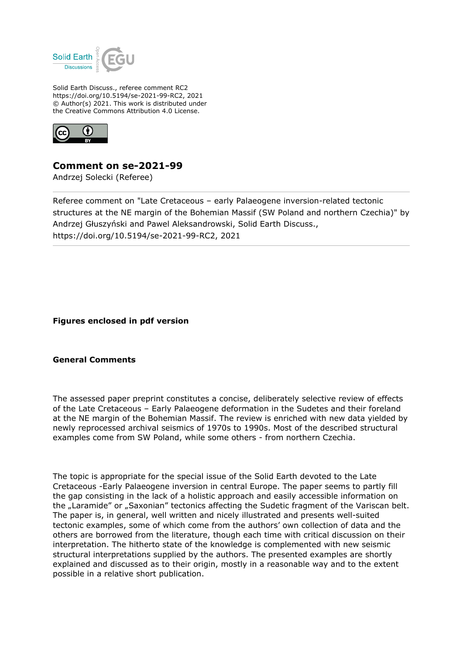

Solid Earth Discuss., referee comment RC2 https://doi.org/10.5194/se-2021-99-RC2, 2021 © Author(s) 2021. This work is distributed under the Creative Commons Attribution 4.0 License.



# **Comment on se-2021-99**

Andrzej Solecki (Referee)

Referee comment on "Late Cretaceous – early Palaeogene inversion-related tectonic structures at the NE margin of the Bohemian Massif (SW Poland and northern Czechia)" by Andrzej Głuszyński and Pawel Aleksandrowski, Solid Earth Discuss., https://doi.org/10.5194/se-2021-99-RC2, 2021

**Figures enclosed in pdf version**

## **General Comments**

The assessed paper preprint constitutes a concise, deliberately selective review of effects of the Late Cretaceous – Early Palaeogene deformation in the Sudetes and their foreland at the NE margin of the Bohemian Massif. The review is enriched with new data yielded by newly reprocessed archival seismics of 1970s to 1990s. Most of the described structural examples come from SW Poland, while some others - from northern Czechia.

The topic is appropriate for the special issue of the Solid Earth devoted to the Late Cretaceous -Early Palaeogene inversion in central Europe. The paper seems to partly fill the gap consisting in the lack of a holistic approach and easily accessible information on the "Laramide" or "Saxonian" tectonics affecting the Sudetic fragment of the Variscan belt. The paper is, in general, well written and nicely illustrated and presents well-suited tectonic examples, some of which come from the authors' own collection of data and the others are borrowed from the literature, though each time with critical discussion on their interpretation. The hitherto state of the knowledge is complemented with new seismic structural interpretations supplied by the authors. The presented examples are shortly explained and discussed as to their origin, mostly in a reasonable way and to the extent possible in a relative short publication.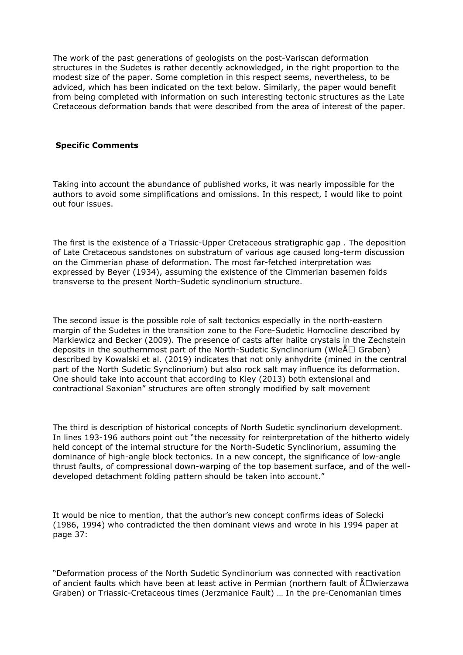The work of the past generations of geologists on the post-Variscan deformation structures in the Sudetes is rather decently acknowledged, in the right proportion to the modest size of the paper. Some completion in this respect seems, nevertheless, to be adviced, which has been indicated on the text below. Similarly, the paper would benefit from being completed with information on such interesting tectonic structures as the Late Cretaceous deformation bands that were described from the area of interest of the paper.

# **Specific Comments**

Taking into account the abundance of published works, it was nearly impossible for the authors to avoid some simplifications and omissions. In this respect, I would like to point out four issues.

The first is the existence of a Triassic-Upper Cretaceous stratigraphic gap . The deposition of Late Cretaceous sandstones on substratum of various age caused long-term discussion on the Cimmerian phase of deformation. The most far-fetched interpretation was expressed by Beyer (1934), assuming the existence of the Cimmerian basemen folds transverse to the present North-Sudetic synclinorium structure.

The second issue is the possible role of salt tectonics especially in the north-eastern margin of the Sudetes in the transition zone to the Fore-Sudetic Homocline described by Markiewicz and Becker (2009). The presence of casts after halite crystals in the Zechstein deposits in the southernmost part of the North-Sudetic Synclinorium (Wle $\mathbb{A}\square$  Graben) described by Kowalski et al. (2019) indicates that not only anhydrite (mined in the central part of the North Sudetic Synclinorium) but also rock salt may influence its deformation. One should take into account that according to Kley (2013) both extensional and contractional Saxonian" structures are often strongly modified by salt movement

The third is description of historical concepts of North Sudetic synclinorium development. In lines 193-196 authors point out "the necessity for reinterpretation of the hitherto widely held concept of the internal structure for the North-Sudetic Synclinorium, assuming the dominance of high-angle block tectonics. In a new concept, the significance of low-angle thrust faults, of compressional down-warping of the top basement surface, and of the welldeveloped detachment folding pattern should be taken into account."

It would be nice to mention, that the author's new concept confirms ideas of Solecki (1986, 1994) who contradicted the then dominant views and wrote in his 1994 paper at page 37:

"Deformation process of the North Sudetic Synclinorium was connected with reactivation of ancient faults which have been at least active in Permian (northern fault of  $\text{A}$ Dwierzawa Graben) or Triassic-Cretaceous times (Jerzmanice Fault) … In the pre-Cenomanian times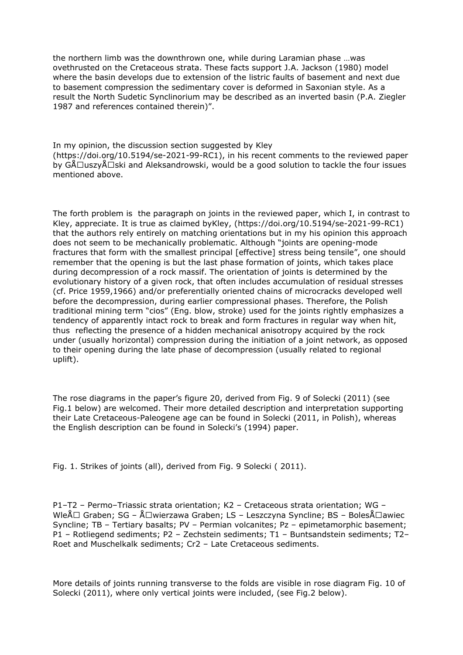the northern limb was the downthrown one, while during Laramian phase …was ovethrusted on the Cretaceous strata. These facts support J.A. Jackson (1980) model where the basin develops due to extension of the listric faults of basement and next due to basement compression the sedimentary cover is deformed in Saxonian style. As a result the North Sudetic Synclinorium may be described as an inverted basin (P.A. Ziegler 1987 and references contained therein)".

In my opinion, the discussion section suggested by Kley (https://doi.org/10.5194/se-2021-99-RC1), in his recent comments to the reviewed paper by  $G\Lambda\Box$ uszy $\Lambda\Box$ ski and Aleksandrowski, would be a good solution to tackle the four issues mentioned above.

The forth problem is the paragraph on joints in the reviewed paper, which I, in contrast to Kley, appreciate. It is true as claimed byKley, (https://doi.org/10.5194/se-2021-99-RC1) that the authors rely entirely on matching orientations but in my his opinion this approach does not seem to be mechanically problematic. Although "joints are opening-mode fractures that form with the smallest principal [effective] stress being tensile", one should remember that the opening is but the last phase formation of joints, which takes place during decompression of a rock massif. The orientation of joints is determined by the evolutionary history of a given rock, that often includes accumulation of residual stresses (cf. Price 1959,1966) and/or preferentially oriented chains of microcracks developed well before the decompression, during earlier compressional phases. Therefore, the Polish traditional mining term "cios" (Eng. blow, stroke) used for the joints rightly emphasizes a tendency of apparently intact rock to break and form fractures in regular way when hit, thus reflecting the presence of a hidden mechanical anisotropy acquired by the rock under (usually horizontal) compression during the initiation of a joint network, as opposed to their opening during the late phase of decompression (usually related to regional uplift).

The rose diagrams in the paper's figure 20, derived from Fig. 9 of Solecki (2011) (see Fig.1 below) are welcomed. Their more detailed description and interpretation supporting their Late Cretaceous-Paleogene age can be found in Solecki (2011, in Polish), whereas the English description can be found in Solecki's (1994) paper.

Fig. 1. Strikes of joints (all), derived from Fig. 9 Solecki ( 2011).

P1–T2 – Permo–Triassic strata orientation; K2 – Cretaceous strata orientation; WG – WleÅ $\Box$  Graben; SG – Å $\Box$ wierzawa Graben; LS – Leszczyna Syncline; BS – BolesÅ $\Box$ awiec Syncline; TB – Tertiary basalts; PV – Permian volcanites; Pz – epimetamorphic basement; P1 – Rotliegend sediments; P2 – Zechstein sediments; T1 – Buntsandstein sediments; T2– Roet and Muschelkalk sediments; Cr2 – Late Cretaceous sediments.

More details of joints running transverse to the folds are visible in rose diagram Fig. 10 of Solecki (2011), where only vertical joints were included, (see Fig.2 below).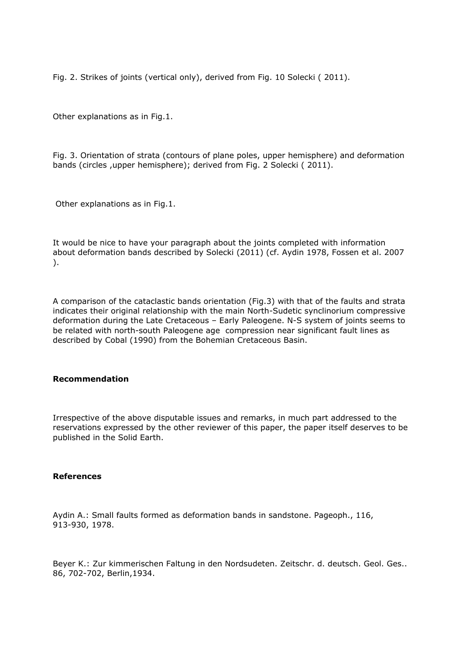Fig. 2. Strikes of joints (vertical only), derived from Fig. 10 Solecki ( 2011).

Other explanations as in Fig.1.

Fig. 3. Orientation of strata (contours of plane poles, upper hemisphere) and deformation bands (circles ,upper hemisphere); derived from Fig. 2 Solecki ( 2011).

Other explanations as in Fig.1.

It would be nice to have your paragraph about the joints completed with information about deformation bands described by Solecki (2011) (cf. Aydin 1978, Fossen et al. 2007 ).

A comparison of the cataclastic bands orientation (Fig.3) with that of the faults and strata indicates their original relationship with the main North-Sudetic synclinorium compressive deformation during the Late Cretaceous – Early Paleogene. N-S system of joints seems to be related with north-south Paleogene age compression near significant fault lines as described by Cobal (1990) from the Bohemian Cretaceous Basin.

## **Recommendation**

Irrespective of the above disputable issues and remarks, in much part addressed to the reservations expressed by the other reviewer of this paper, the paper itself deserves to be published in the Solid Earth.

#### **References**

Aydin A.: Small faults formed as deformation bands in sandstone. Pageoph., 116, 913-930, 1978.

Beyer K.: Zur kimmerischen Faltung in den Nordsudeten. Zeitschr. d. deutsch. Geol. Ges.. 86, 702-702, Berlin,1934.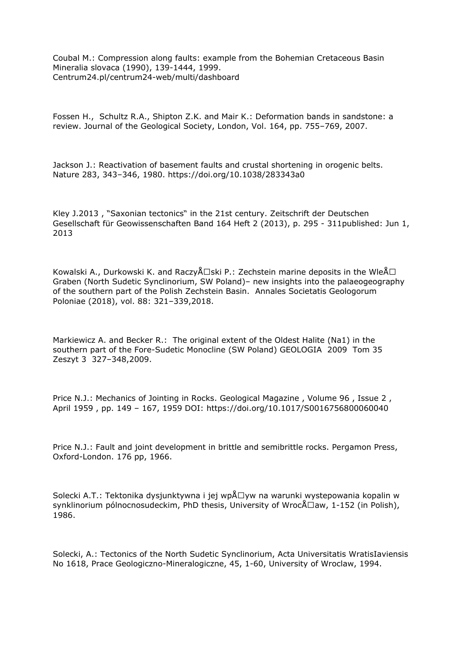Coubal M.: Compression along faults: example from the Bohemian Cretaceous Basin Mineralia slovaca (1990), 139-1444, 1999. Centrum24.pl/centrum24-web/multi/dashboard

Fossen H., Schultz R.A., Shipton Z.K. and Mair K.: Deformation bands in sandstone: a review. Journal of the Geological Society, London, Vol. 164, pp. 755–769, 2007.

Jackson J.: Reactivation of basement faults and crustal shortening in orogenic belts. Nature 283, 343–346, 1980. https://doi.org/10.1038/283343a0

Kley J.2013 , "Saxonian tectonics" in the 21st century. Zeitschrift der Deutschen Gesellschaft für Geowissenschaften Band 164 Heft 2 (2013), p. 295 - 311published: Jun 1, 2013

Kowalski A., Durkowski K. and Raczy $\Lambda\Box$ ski P.: Zechstein marine deposits in the Wle $\Lambda\Box$ Graben (North Sudetic Synclinorium, SW Poland)– new insights into the palaeogeography of the southern part of the Polish Zechstein Basin. Annales Societatis Geologorum Poloniae (2018), vol. 88: 321–339,2018.

Markiewicz A. and Becker R.: The original extent of the Oldest Halite (Na1) in the southern part of the Fore-Sudetic Monocline (SW Poland) GEOLOGIA 2009 Tom 35 Zeszyt 3 327–348,2009.

Price N.J.: Mechanics of Jointing in Rocks. Geological Magazine , Volume 96 , Issue 2 , April 1959 , pp. 149 – 167, 1959 DOI: https://doi.org/10.1017/S0016756800060040

Price N.J.: Fault and joint development in brittle and semibrittle rocks. Pergamon Press, Oxford-London. 176 pp, 1966.

Solecki A.T.: Tektonika dysjunktywna i jej wp $\&\Box$ yw na warunki wystepowania kopalin w synklinorium pólnocnosudeckim, PhD thesis, University of Wroc $\Delta \Box$ aw, 1-152 (in Polish), 1986.

Solecki, A.: Tectonics of the North Sudetic Synclinorium, Acta Universitatis WratisIaviensis No 1618, Prace Geologiczno-Mineralogiczne, 45, 1-60, University of Wroclaw, 1994.